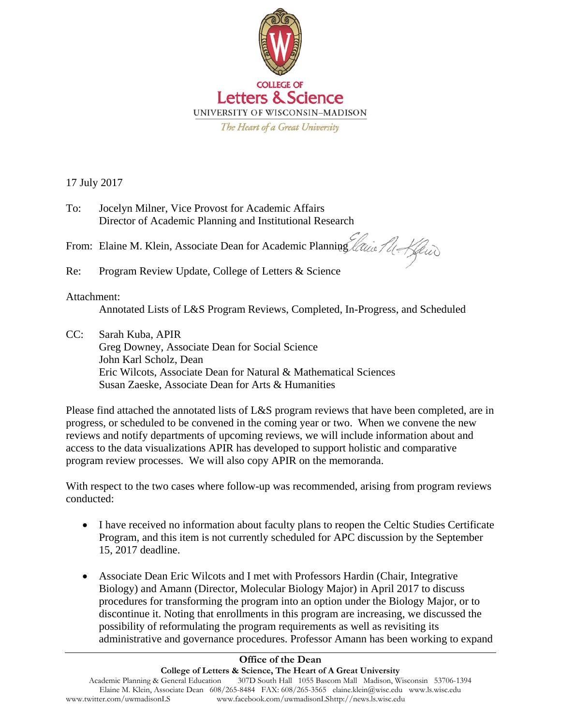

17 July 2017

| To: | Jocelyn Milner, Vice Provost for Academic Affairs        |
|-----|----------------------------------------------------------|
|     | Director of Academic Planning and Institutional Research |

From: Elaine M. Klein, Associate Dean for Academic Planning

Re: Program Review Update, College of Letters & Science

## Attachment:

Annotated Lists of L&S Program Reviews, Completed, In-Progress, and Scheduled

CC: Sarah Kuba, APIR Greg Downey, Associate Dean for Social Science John Karl Scholz, Dean Eric Wilcots, Associate Dean for Natural & Mathematical Sciences Susan Zaeske, Associate Dean for Arts & Humanities

Please find attached the annotated lists of L&S program reviews that have been completed, are in progress, or scheduled to be convened in the coming year or two. When we convene the new reviews and notify departments of upcoming reviews, we will include information about and access to the data visualizations APIR has developed to support holistic and comparative program review processes. We will also copy APIR on the memoranda.

With respect to the two cases where follow-up was recommended, arising from program reviews conducted:

- I have received no information about faculty plans to reopen the Celtic Studies Certificate Program, and this item is not currently scheduled for APC discussion by the September 15, 2017 deadline.
- Associate Dean Eric Wilcots and I met with Professors Hardin (Chair, Integrative Biology) and Amann (Director, Molecular Biology Major) in April 2017 to discuss procedures for transforming the program into an option under the Biology Major, or to discontinue it. Noting that enrollments in this program are increasing, we discussed the possibility of reformulating the program requirements as well as revisiting its administrative and governance procedures. Professor Amann has been working to expand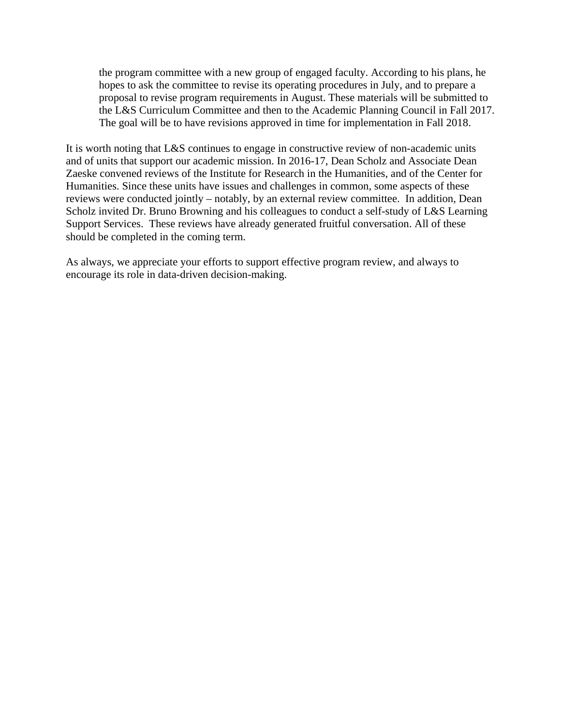the program committee with a new group of engaged faculty. According to his plans, he hopes to ask the committee to revise its operating procedures in July, and to prepare a proposal to revise program requirements in August. These materials will be submitted to the L&S Curriculum Committee and then to the Academic Planning Council in Fall 2017. The goal will be to have revisions approved in time for implementation in Fall 2018.

It is worth noting that L&S continues to engage in constructive review of non-academic units and of units that support our academic mission. In 2016-17, Dean Scholz and Associate Dean Zaeske convened reviews of the Institute for Research in the Humanities, and of the Center for Humanities. Since these units have issues and challenges in common, some aspects of these reviews were conducted jointly – notably, by an external review committee. In addition, Dean Scholz invited Dr. Bruno Browning and his colleagues to conduct a self-study of L&S Learning Support Services. These reviews have already generated fruitful conversation. All of these should be completed in the coming term.

As always, we appreciate your efforts to support effective program review, and always to encourage its role in data-driven decision-making.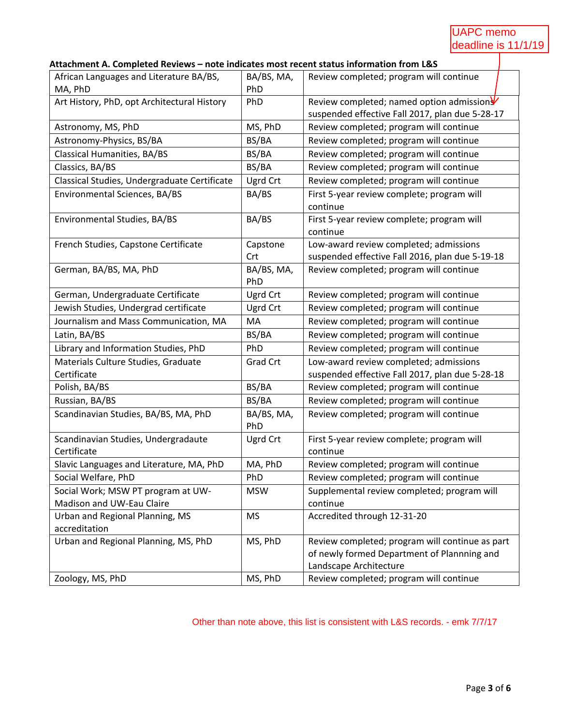# UAPC memo deadline is 11/1/19

## **Attachment A. Completed Reviews – note indicates most recent status information from L&S**

| African Languages and Literature BA/BS,            | BA/BS, MA,        | Review completed; program will continue                                                   |
|----------------------------------------------------|-------------------|-------------------------------------------------------------------------------------------|
| MA, PhD                                            | PhD               |                                                                                           |
| Art History, PhD, opt Architectural History        | PhD               | Review completed; named option admission                                                  |
|                                                    |                   | suspended effective Fall 2017, plan due 5-28-17                                           |
| Astronomy, MS, PhD                                 | MS, PhD           | Review completed; program will continue                                                   |
| Astronomy-Physics, BS/BA                           | BS/BA             | Review completed; program will continue                                                   |
| <b>Classical Humanities, BA/BS</b>                 | BS/BA             | Review completed; program will continue                                                   |
| Classics, BA/BS                                    | BS/BA             | Review completed; program will continue                                                   |
| Classical Studies, Undergraduate Certificate       | Ugrd Crt          | Review completed; program will continue                                                   |
| Environmental Sciences, BA/BS                      | BA/BS             | First 5-year review complete; program will<br>continue                                    |
| Environmental Studies, BA/BS                       | BA/BS             | First 5-year review complete; program will<br>continue                                    |
| French Studies, Capstone Certificate               | Capstone<br>Crt   | Low-award review completed; admissions<br>suspended effective Fall 2016, plan due 5-19-18 |
| German, BA/BS, MA, PhD                             | BA/BS, MA,<br>PhD | Review completed; program will continue                                                   |
| German, Undergraduate Certificate                  | Ugrd Crt          | Review completed; program will continue                                                   |
| Jewish Studies, Undergrad certificate              | Ugrd Crt          | Review completed; program will continue                                                   |
| Journalism and Mass Communication, MA              | MA                | Review completed; program will continue                                                   |
| Latin, BA/BS                                       | BS/BA             | Review completed; program will continue                                                   |
| Library and Information Studies, PhD               | PhD               | Review completed; program will continue                                                   |
| Materials Culture Studies, Graduate                | <b>Grad Crt</b>   | Low-award review completed; admissions                                                    |
| Certificate                                        |                   | suspended effective Fall 2017, plan due 5-28-18                                           |
| Polish, BA/BS                                      | BS/BA             | Review completed; program will continue                                                   |
| Russian, BA/BS                                     | BS/BA             | Review completed; program will continue                                                   |
| Scandinavian Studies, BA/BS, MA, PhD               | BA/BS, MA,<br>PhD | Review completed; program will continue                                                   |
| Scandinavian Studies, Undergradaute<br>Certificate | Ugrd Crt          | First 5-year review complete; program will<br>continue                                    |
| Slavic Languages and Literature, MA, PhD           | MA, PhD           | Review completed; program will continue                                                   |
| Social Welfare, PhD                                | PhD               | Review completed; program will continue                                                   |
| Social Work; MSW PT program at UW-                 | <b>MSW</b>        | Supplemental review completed; program will                                               |
| Madison and UW-Eau Claire                          |                   | continue                                                                                  |
| Urban and Regional Planning, MS                    | <b>MS</b>         | Accredited through 12-31-20                                                               |
| accreditation                                      |                   |                                                                                           |
| Urban and Regional Planning, MS, PhD               | MS, PhD           | Review completed; program will continue as part                                           |
|                                                    |                   | of newly formed Department of Plannning and                                               |
|                                                    |                   | Landscape Architecture                                                                    |
| Zoology, MS, PhD                                   | MS, PhD           | Review completed; program will continue                                                   |

Other than note above, this list is consistent with L&S records. - emk 7/7/17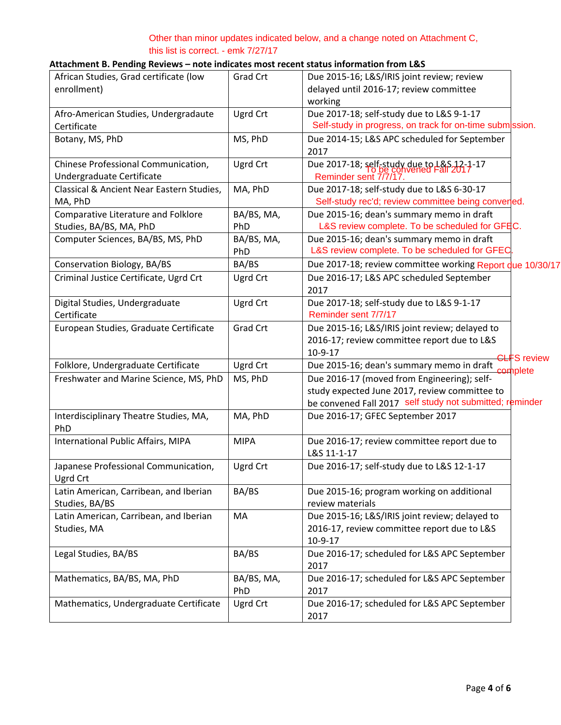## Other than minor updates indicated below, and a change noted on Attachment C, this list is correct. - emk 7/27/17

## **Attachment B. Pending Reviews – note indicates most recent status information from L&S**

| African Studies, Grad certificate (low    | Grad Crt        | Due 2015-16; L&S/IRIS joint review; review                |                    |
|-------------------------------------------|-----------------|-----------------------------------------------------------|--------------------|
| enrollment)                               |                 | delayed until 2016-17; review committee                   |                    |
|                                           |                 | working                                                   |                    |
| Afro-American Studies, Undergradaute      | Ugrd Crt        | Due 2017-18; self-study due to L&S 9-1-17                 |                    |
| Certificate                               |                 | Self-study in progress, on track for on-time submission.  |                    |
| Botany, MS, PhD                           | MS, PhD         | Due 2014-15; L&S APC scheduled for September              |                    |
|                                           |                 | 2017                                                      |                    |
| Chinese Professional Communication,       | Ugrd Crt        | Due 2017-18; self-study due to $L_{\alpha}^{R}S$ , 17-17  |                    |
| Undergraduate Certificate                 |                 | Reminder sent 7/7/17.                                     |                    |
| Classical & Ancient Near Eastern Studies, | MA, PhD         | Due 2017-18; self-study due to L&S 6-30-17                |                    |
| MA, PhD                                   |                 | Self-study rec'd; review committee being converled.       |                    |
| Comparative Literature and Folklore       | BA/BS, MA,      | Due 2015-16; dean's summary memo in draft                 |                    |
| Studies, BA/BS, MA, PhD                   | PhD             | L&S review complete. To be scheduled for GFEC.            |                    |
| Computer Sciences, BA/BS, MS, PhD         | BA/BS, MA,      | Due 2015-16; dean's summary memo in draft                 |                    |
|                                           | PhD             | L&S review complete. To be scheduled for GFEC             |                    |
| Conservation Biology, BA/BS               | BA/BS           | Due 2017-18; review committee working Report due 10/30/17 |                    |
| Criminal Justice Certificate, Ugrd Crt    | Ugrd Crt        | Due 2016-17; L&S APC scheduled September                  |                    |
|                                           |                 | 2017                                                      |                    |
| Digital Studies, Undergraduate            | Ugrd Crt        | Due 2017-18; self-study due to L&S 9-1-17                 |                    |
| Certificate                               |                 | Reminder sent 7/7/17                                      |                    |
| European Studies, Graduate Certificate    | <b>Grad Crt</b> | Due 2015-16; L&S/IRIS joint review; delayed to            |                    |
|                                           |                 | 2016-17; review committee report due to L&S               |                    |
|                                           |                 | 10-9-17                                                   |                    |
| Folklore, Undergraduate Certificate       | Ugrd Crt        | Due 2015-16; dean's summary memo in draft                 | <b>CLFS</b> review |
| Freshwater and Marine Science, MS, PhD    | MS, PhD         | Due 2016-17 (moved from Engineering); self-               | somplete           |
|                                           |                 | study expected June 2017, review committee to             |                    |
|                                           |                 | be convened Fall 2017 self study not submitted; reminder  |                    |
| Interdisciplinary Theatre Studies, MA,    | MA, PhD         | Due 2016-17; GFEC September 2017                          |                    |
| PhD                                       |                 |                                                           |                    |
| International Public Affairs, MIPA        | <b>MIPA</b>     | Due 2016-17; review committee report due to               |                    |
|                                           |                 | L&S 11-1-17                                               |                    |
| Japanese Professional Communication,      | Ugrd Crt        | Due 2016-17; self-study due to L&S 12-1-17                |                    |
| Ugrd Crt                                  |                 |                                                           |                    |
| Latin American, Carribean, and Iberian    | BA/BS           | Due 2015-16; program working on additional                |                    |
| Studies, BA/BS                            |                 | review materials                                          |                    |
| Latin American, Carribean, and Iberian    | MA              | Due 2015-16; L&S/IRIS joint review; delayed to            |                    |
| Studies, MA                               |                 | 2016-17, review committee report due to L&S               |                    |
|                                           |                 | 10-9-17                                                   |                    |
| Legal Studies, BA/BS                      | BA/BS           | Due 2016-17; scheduled for L&S APC September              |                    |
|                                           |                 | 2017                                                      |                    |
| Mathematics, BA/BS, MA, PhD               | BA/BS, MA,      | Due 2016-17; scheduled for L&S APC September              |                    |
|                                           | PhD             | 2017                                                      |                    |
| Mathematics, Undergraduate Certificate    | Ugrd Crt        | Due 2016-17; scheduled for L&S APC September              |                    |
|                                           |                 | 2017                                                      |                    |
|                                           |                 |                                                           |                    |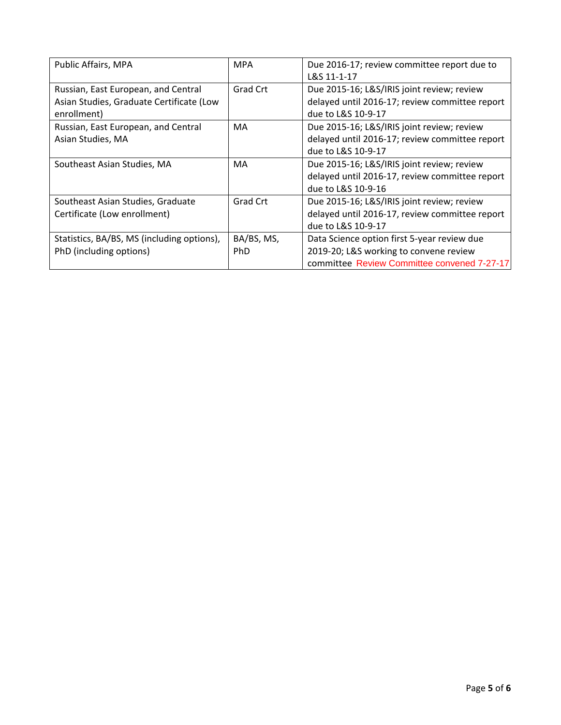| Public Affairs, MPA                        | <b>MPA</b> | Due 2016-17; review committee report due to    |
|--------------------------------------------|------------|------------------------------------------------|
|                                            |            | L&S 11-1-17                                    |
| Russian, East European, and Central        | Grad Crt   | Due 2015-16; L&S/IRIS joint review; review     |
| Asian Studies, Graduate Certificate (Low   |            | delayed until 2016-17; review committee report |
| enrollment)                                |            | due to L&S 10-9-17                             |
| Russian, East European, and Central        | MA         | Due 2015-16; L&S/IRIS joint review; review     |
| Asian Studies, MA                          |            | delayed until 2016-17; review committee report |
|                                            |            | due to L&S 10-9-17                             |
| Southeast Asian Studies, MA                | MA         | Due 2015-16; L&S/IRIS joint review; review     |
|                                            |            | delayed until 2016-17, review committee report |
|                                            |            | due to L&S 10-9-16                             |
| Southeast Asian Studies, Graduate          | Grad Crt   | Due 2015-16; L&S/IRIS joint review; review     |
| Certificate (Low enrollment)               |            | delayed until 2016-17, review committee report |
|                                            |            | due to L&S 10-9-17                             |
| Statistics, BA/BS, MS (including options), | BA/BS, MS, | Data Science option first 5-year review due    |
| PhD (including options)                    | PhD        | 2019-20; L&S working to convene review         |
|                                            |            | committee Review Committee convened 7-27-17    |